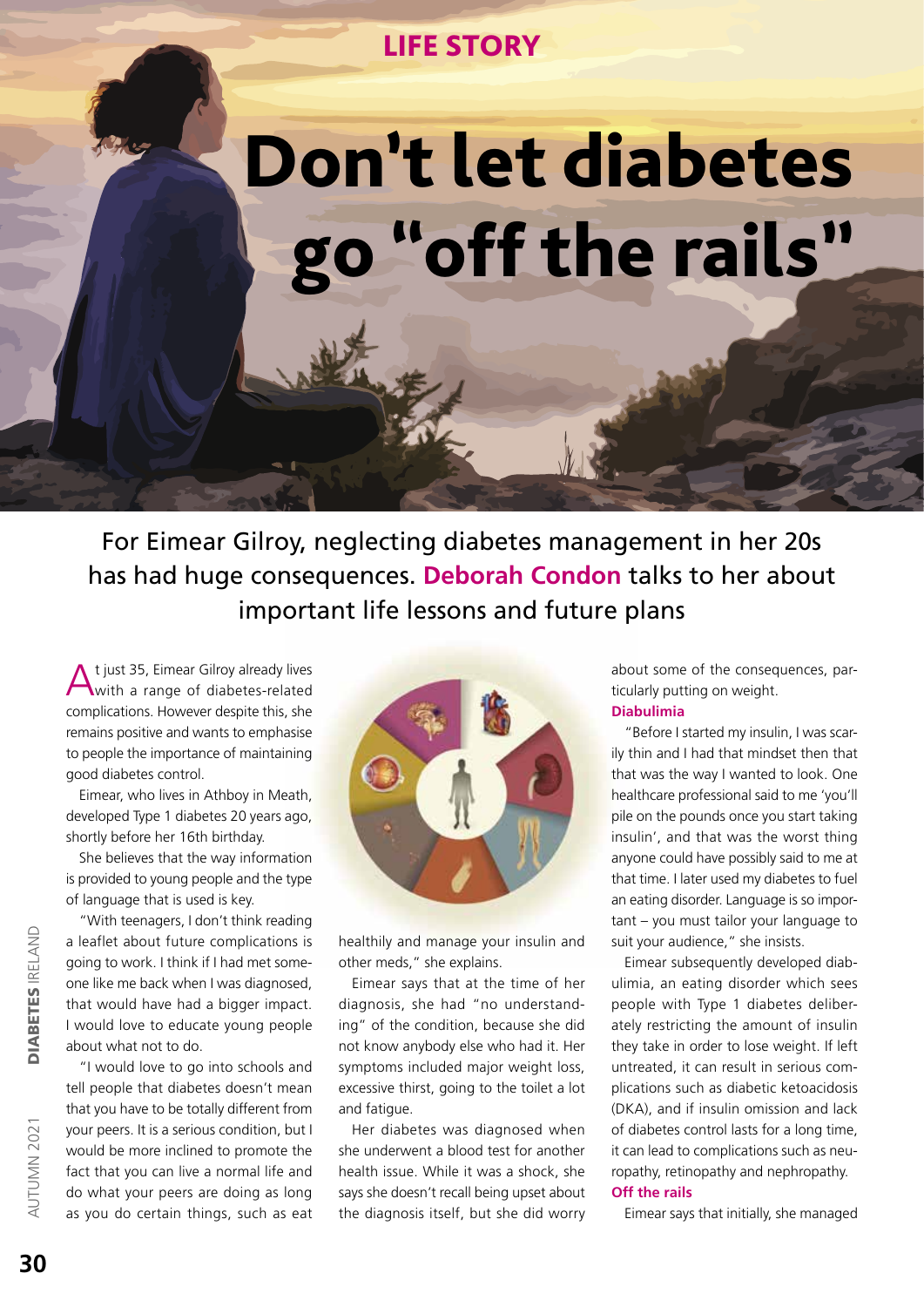## LIFE STORY

## Don't let diabetes "off the rails"

For Eimear Gilroy, neglecting diabetes management in her 20s has had huge consequences. **Deborah Condon** talks to her about important life lessons and future plans

t just 35, Eimear Gilroy already lives with a range of diabetes-related complications. However despite this, she remains positive and wants to emphasise to people the importance of maintaining good diabetes control.

Eimear, who lives in Athboy in Meath, developed Type 1 diabetes 20 years ago, shortly before her 16th birthday.

She believes that the way information is provided to young people and the type of language that is used is key.

"With teenagers, I don't think reading a leaflet about future complications is going to work. I think if I had met someone like me back when I was diagnosed, that would have had a bigger impact. I would love to educate young people about what not to do.

"I would love to go into schools and tell people that diabetes doesn't mean that you have to be totally different from your peers. It is a serious condition, but I would be more inclined to promote the fact that you can live a normal life and do what your peers are doing as long as you do certain things, such as eat



healthily and manage your insulin and other meds," she explains.

Eimear says that at the time of her diagnosis, she had "no understanding" of the condition, because she did not know anybody else who had it. Her symptoms included major weight loss, excessive thirst, going to the toilet a lot and fatigue.

Her diabetes was diagnosed when she underwent a blood test for another health issue. While it was a shock, she says she doesn't recall being upset about the diagnosis itself, but she did worry about some of the consequences, particularly putting on weight. **Diabulimia**

"Before I started my insulin, I was scarily thin and I had that mindset then that that was the way I wanted to look. One healthcare professional said to me 'you'll pile on the pounds once you start taking insulin', and that was the worst thing anyone could have possibly said to me at that time. I later used my diabetes to fuel an eating disorder. Language is so important – you must tailor your language to suit your audience," she insists.

Eimear subsequently developed diabulimia, an eating disorder which sees people with Type 1 diabetes deliberately restricting the amount of insulin they take in order to lose weight. If left untreated, it can result in serious complications such as diabetic ketoacidosis (DKA), and if insulin omission and lack of diabetes control lasts for a long time, it can lead to complications such as neuropathy, retinopathy and nephropathy. **Off the rails**

Eimear says that initially, she managed